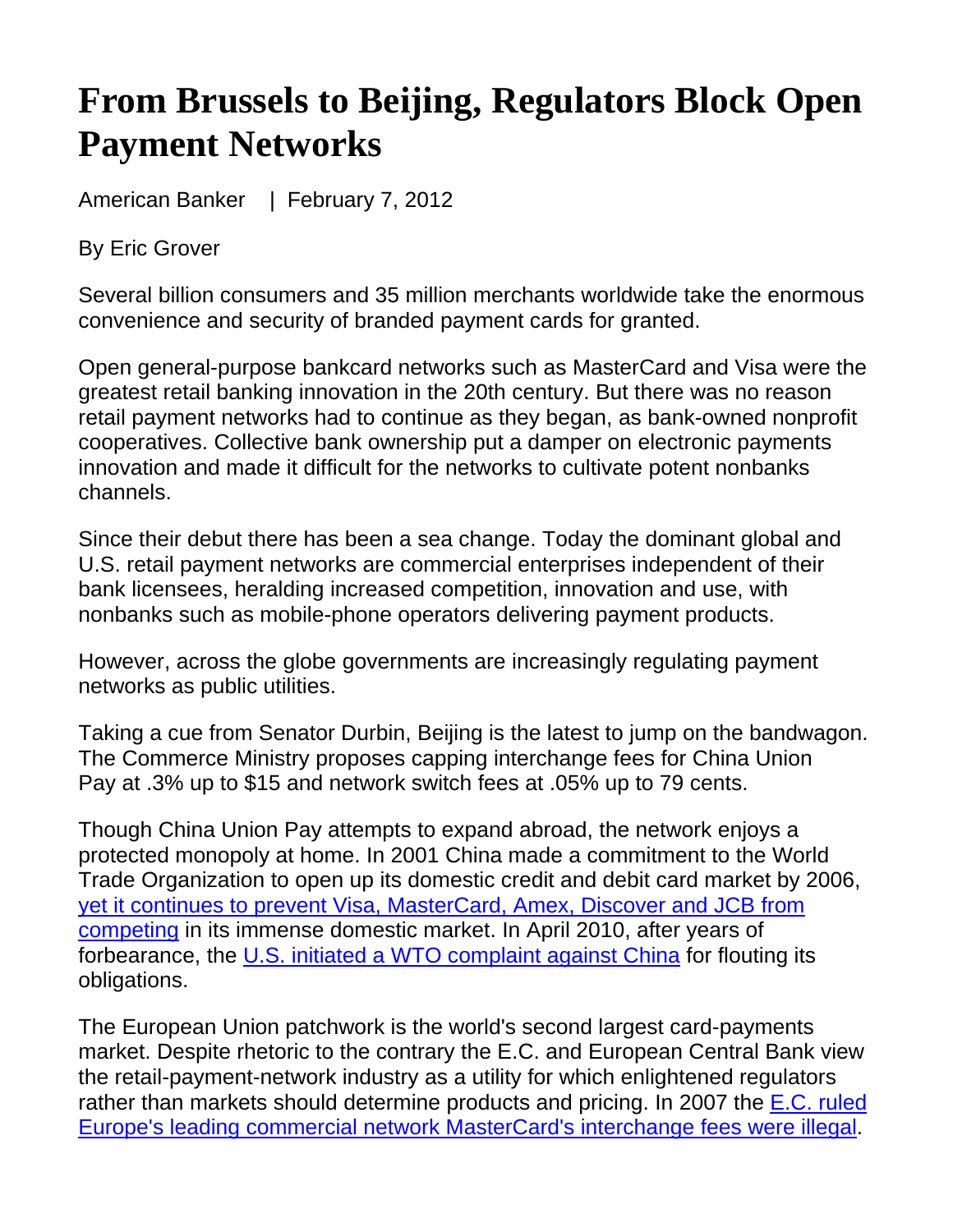## **From Brussels to Beijing, Regulators Block Open Payment Networks**

American Banker | February 7, 2012

By Eric Grover

Several billion consumers and 35 million merchants worldwide take the enormous convenience and security of branded payment cards for granted.

Open general-purpose bankcard networks such as MasterCard and Visa were the greatest retail banking innovation in the 20th century. But there was no reason retail payment networks had to continue as they began, as bank-owned nonprofit cooperatives. Collective bank ownership put a damper on electronic payments innovation and made it difficult for the networks to cultivate potent nonbanks channels.

Since their debut there has been a sea change. Today the dominant global and U.S. retail payment networks are commercial enterprises independent of their bank licensees, heralding increased competition, innovation and use, with nonbanks such as mobile-phone operators delivering payment products.

However, across the globe governments are increasingly regulating payment networks as public utilities.

Taking a cue from Senator Durbin, Beijing is the latest to jump on the bandwagon. The Commerce Ministry proposes capping interchange fees for China Union Pay at .3% up to \$15 and network switch fees at .05% up to 79 cents.

Though China Union Pay attempts to expand abroad, the network enjoys a protected monopoly at home. In 2001 China made a commitment to the World Trade Organization to open up its domestic credit and debit card market by 2006, yet it continues to prevent Visa, MasterCard, Amex, Discover and JCB from competing in its immense domestic market. In April 2010, after years of forbearance, the U.S. initiated a WTO complaint against China for flouting its obligations.

The European Union patchwork is the world's second largest card-payments market. Despite rhetoric to the contrary the E.C. and European Central Bank view the retail-payment-network industry as a utility for which enlightened regulators rather than markets should determine products and pricing. In 2007 the E.C. ruled Europe's leading commercial network MasterCard's interchange fees were illegal.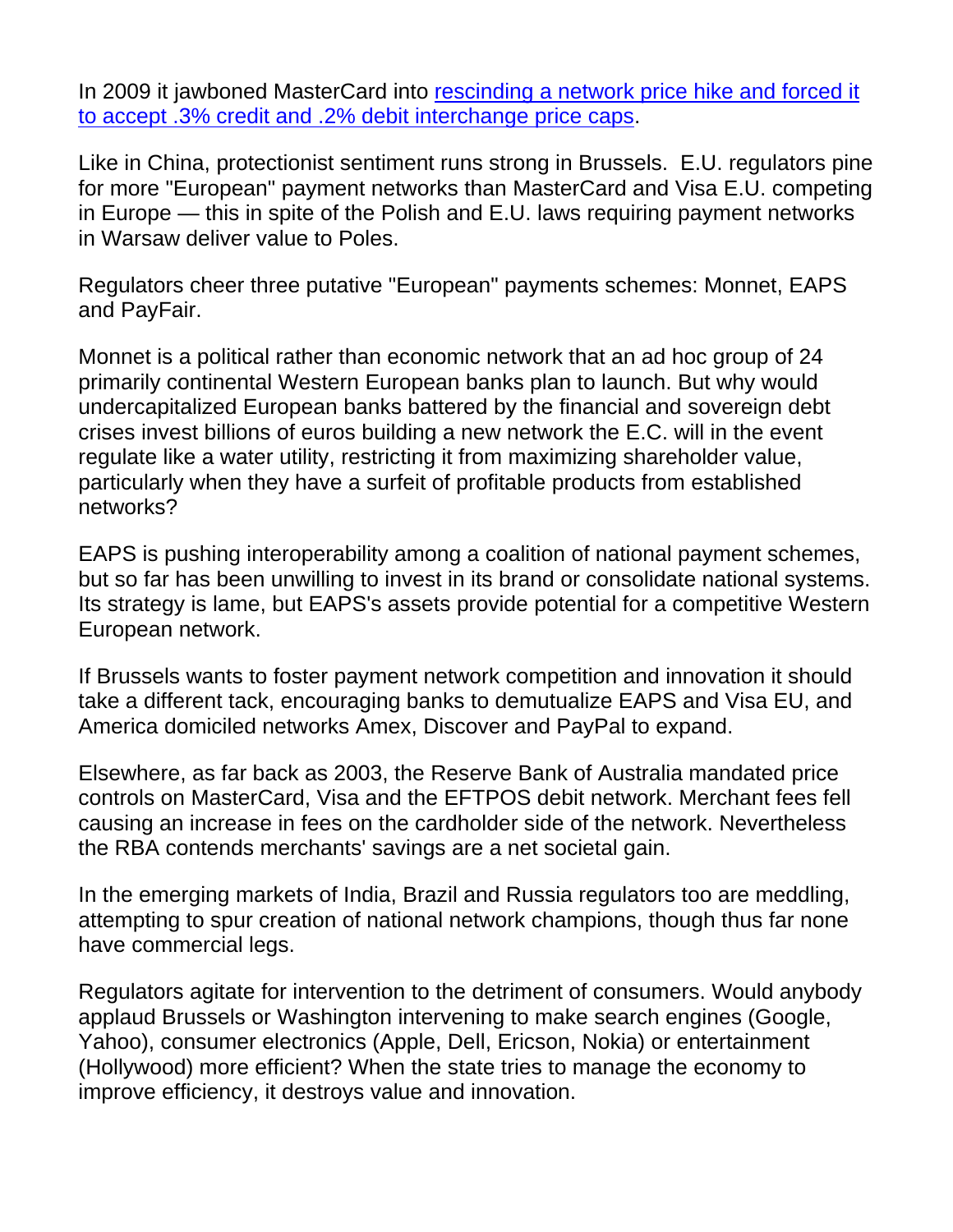In 2009 it jawboned MasterCard into rescinding a network price hike and forced it to accept .3% credit and .2% debit interchange price caps.

Like in China, protectionist sentiment runs strong in Brussels. E.U. regulators pine for more "European" payment networks than MasterCard and Visa E.U. competing in Europe — this in spite of the Polish and E.U. laws requiring payment networks in Warsaw deliver value to Poles.

Regulators cheer three putative "European" payments schemes: Monnet, EAPS and PayFair.

Monnet is a political rather than economic network that an ad hoc group of 24 primarily continental Western European banks plan to launch. But why would undercapitalized European banks battered by the financial and sovereign debt crises invest billions of euros building a new network the E.C. will in the event regulate like a water utility, restricting it from maximizing shareholder value, particularly when they have a surfeit of profitable products from established networks?

EAPS is pushing interoperability among a coalition of national payment schemes, but so far has been unwilling to invest in its brand or consolidate national systems. Its strategy is lame, but EAPS's assets provide potential for a competitive Western European network.

If Brussels wants to foster payment network competition and innovation it should take a different tack, encouraging banks to demutualize EAPS and Visa EU, and America domiciled networks Amex, Discover and PayPal to expand.

Elsewhere, as far back as 2003, the Reserve Bank of Australia mandated price controls on MasterCard, Visa and the EFTPOS debit network. Merchant fees fell causing an increase in fees on the cardholder side of the network. Nevertheless the RBA contends merchants' savings are a net societal gain.

In the emerging markets of India, Brazil and Russia regulators too are meddling, attempting to spur creation of national network champions, though thus far none have commercial legs.

Regulators agitate for intervention to the detriment of consumers. Would anybody applaud Brussels or Washington intervening to make search engines (Google, Yahoo), consumer electronics (Apple, Dell, Ericson, Nokia) or entertainment (Hollywood) more efficient? When the state tries to manage the economy to improve efficiency, it destroys value and innovation.